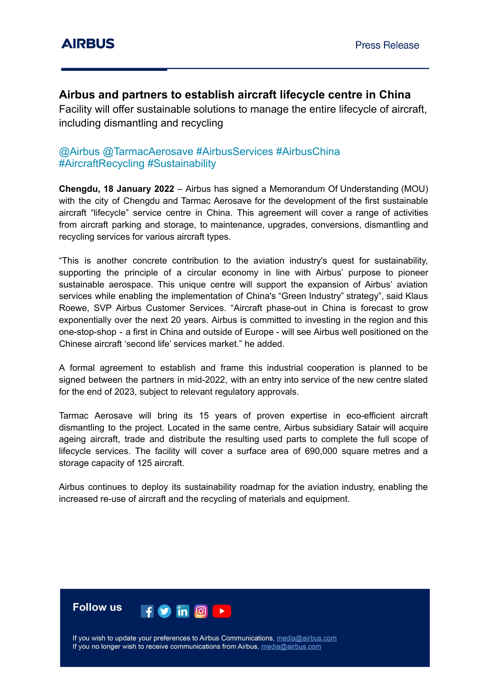# **Airbus and partners to establish aircraft lifecycle centre in China**

Facility will offer sustainable solutions to manage the entire lifecycle of aircraft, including dismantling and recycling

# @Airbus @TarmacAerosave #AirbusServices #AirbusChina #AircraftRecycling #Sustainability

**Chengdu, 18 January 2022** – Airbus has signed a Memorandum Of Understanding (MOU) with the city of Chengdu and Tarmac Aerosave for the development of the first sustainable aircraft "lifecycle" service centre in China. This agreement will cover a range of activities from aircraft parking and storage, to maintenance, upgrades, conversions, dismantling and recycling services for various aircraft types.

"This is another concrete contribution to the aviation industry's quest for sustainability, supporting the principle of a circular economy in line with Airbus' purpose to pioneer sustainable aerospace. This unique centre will support the expansion of Airbus' aviation services while enabling the implementation of China's "Green Industry" strategy", said Klaus Roewe, SVP Airbus Customer Services. "Aircraft phase-out in China is forecast to grow exponentially over the next 20 years. Airbus is committed to investing in the region and this one-stop-shop - a first in China and outside of Europe - will see Airbus well positioned on the Chinese aircraft 'second life' services market." he added.

A formal agreement to establish and frame this industrial cooperation is planned to be signed between the partners in mid-2022, with an entry into service of the new centre slated for the end of 2023, subject to relevant regulatory approvals.

Tarmac Aerosave will bring its 15 years of proven expertise in eco-efficient aircraft dismantling to the project. Located in the same centre, Airbus subsidiary Satair will acquire ageing aircraft, trade and distribute the resulting used parts to complete the full scope of lifecycle services. The facility will cover a surface area of 690,000 square metres and a storage capacity of 125 aircraft.

Airbus continues to deploy its sustainability roadmap for the aviation industry, enabling the increased re-use of aircraft and the recycling of materials and equipment.